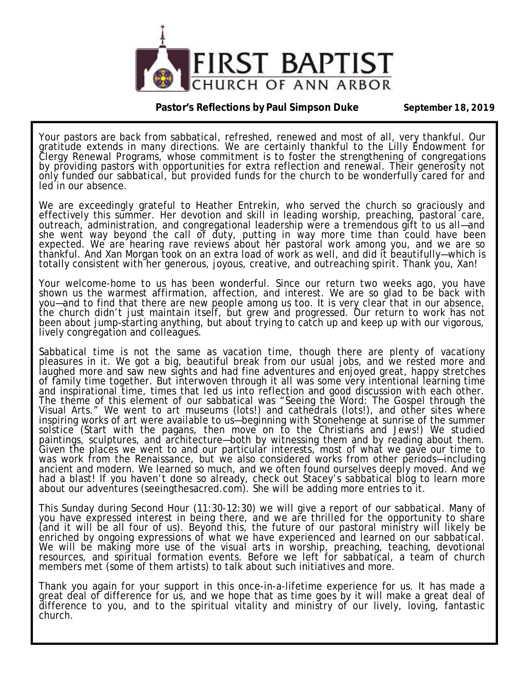

**Pastor's Reflections by Paul Simpson Duke September 18, 2019** 

Your pastors are back from sabbatical, refreshed, renewed and most of all, very thankful. Our gratitude extends in many directions. We are certainly thankful to the Lilly Endowment for Clergy Renewal Programs, whose commitment is to foster the strengthening of congregations by providing pastors with opportunities for extra reflection and renewal. Their generosity not only funded our sabbatical, but provided funds for the church to be wonderfully cared for and led in our absence.

We are exceedingly grateful to Heather Entrekin, who served the church so graciously and effectively this summer. Her devotion and skill in leading worship, preaching, pastoral care, outreach, administration, and congregational leadership were a tremendous gift to us all—and she went *way* beyond the call of duty, putting in *way* more time than could have been expected. We are hearing rave reviews about her pastoral work among you, and we are so thankful. And Xan Morgan took on an extra load of work as well, and did it beautifully—which is totally consistent with her generous, joyous, creative, and outreaching spirit. Thank you, Xan!

Your welcome-home to us has been wonderful. Since our return two weeks ago, you have shown us the warmest affirmation, affection, and interest. We are so glad to be back with you—and to find that there are new people among us too. It is very clear that in our absence, the church didn't just maintain itself, but grew and progressed. Our return to work has not been about jump-starting anything, but about trying to catch up and keep up with our vigorous, lively congregation and colleagues.

Sabbatical time is not the same as vacation time, though there are plenty of vacationy pleasures in it. We got a big, beautiful break from our usual jobs, and we rested more and laughed more and saw new sights and had fine adventures and enjoyed great, happy stretches of family time together. But interwoven through it all was some very intentional learning time and inspirational time, times that led us into reflection and good discussion with each other. The theme of this element of our sabbatical was "Seeing the Word: The Gospel through the Visual Arts." We went to art museums (lots!) and cathedrals (lots!), and other sites where inspiring works of art were available to us—beginning with Stonehenge at sunrise of the summer solstice (Start with the pagans, then move on to the Christians and Jews!) We studied paintings, sculptures, and architecture—both by witnessing them and by reading about them. Given the places we went to and our particular interests, most of what we gave our time to was work from the Renaissance, but we also considered works from other periods—including ancient and modern. We learned so much, and we often found ourselves deeply moved. And we had a blast! If you haven't done so already, check out Stacey's sabbatical blog to learn more about our adventures (seeingthesacred.com). She will be adding more entries to it.

This Sunday during Second Hour (11:30-12:30) we will give a report of our sabbatical. Many of you have expressed interest in being there, and we are thrilled for the opportunity to share (and it will be all four of us). Beyond this, the future of our pastoral ministry will likely be enriched by ongoing expressions of what we have experienced and learned on our sabbatical. We will be making more use of the visual arts in worship, preaching, teaching, devotional resources, and spiritual formation events. Before we left for sabbatical, a team of church members met (some of them artists) to talk about such initiatives and more.

Thank you again for your support in this once-in-a-lifetime experience for us. It has made a great deal of difference for us, and we hope that as time goes by it will make a great deal of difference to you, and to the spiritual vitality and ministry of our lively, loving, fantastic church.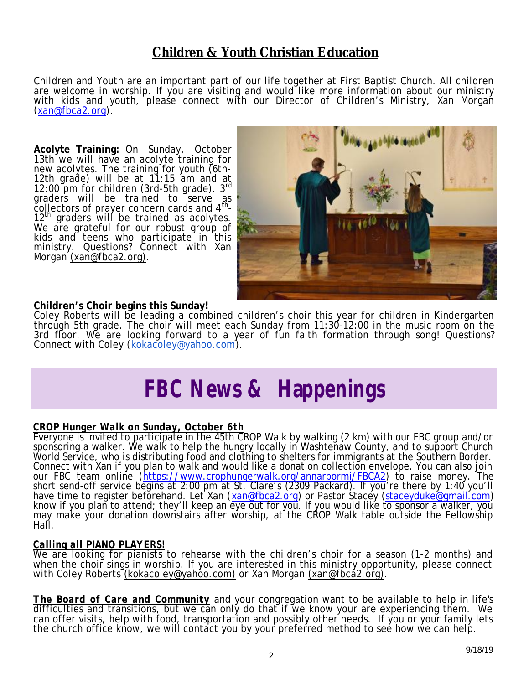### **Children & Youth Christian Education**

Children and Youth are an important part of our life together at First Baptist Church. All children are welcome in worship. If you are visiting and would like more information about our ministry with kids and youth, please connect with our Director of Children's Ministry, Xan Morgan ([xan@fbca2.org\)](mailto:xan@fbca2.org).

**Acolyte Training:** On Sunday, October 13th we will have an acolyte training for new acolytes. The training for youth (6th-12th grade) will be at 11:15 am and at 12:00 pm for children (3rd-5th grade). 3rd graders will be trained to serve as collectors of prayer concern cards and  $4<sup>th</sup>$ -12<sup>th</sup> graders will be trained as acolytes. We are grateful for our robust group of kids and teens who participate in this ministry. Questions? Connect with Xan Morgan [\(xan@fbca2.org\)](mailto:(xan@fbca2.org)).



#### **Children's Choir begins this Sunday!**

Coley Roberts will be leading a combined children's choir this year for children in Kindergarten through 5th grade. The choir will meet each Sunday from 11:30-12:00 in the music room on the 3rd floor. We are looking forward to a year of fun faith formation through song! Questions? Connect with Coley ([kokacoley@yahoo.com\)](mailto:kokacoley@yahoo.com).

### *FBC News & Happenings*

#### *CROP Hunger Walk on Sunday, October 6th*

Everyone is invited to participate in the 45th CROP Walk by walking (2 km) with our FBC group and/or sponsoring a walker. We walk to help the hungry locally in Washtenaw County, and to support Church World Service, who is distributing food and clothing to shelters for immigrants at the Southern Border. Connect with Xan if you plan to walk and would like a donation collection envelope. You can also join our FBC team online [\(https://www.crophungerwalk.org/annarbormi/FBCA2\)](https://www.crophungerwalk.org/annarbormi/FBCA2) to raise money. The short send-off service begins at 2:00 pm at St. Clare's (2309 Packard). If you're there by 1:40 you'll have time to register befŏrehand. Let Xan ([xan@fbca2.org\)](mailto:xan@fbca2.org) or Pastor Stacey [\(staceyduke@gmail.com\)](mailto:staceyduke@gmail.com) know if you plan to attend; they'll keep an eye out for you. If you would like to sponsor a walker, you may make your donation downstairs after worship, at the CROP Walk table outside the Fellowship Hall.

#### *Calling all PIANO PLAYERS!*

We are looking for pianists to rehearse with the children's choir for a season (1-2 months) and when the choir sings in worship. If you are interested in this ministry opportunity, please connect with Coley Roberts [\(kokacoley@yahoo.com\)](mailto:(kokacoley@yahoo.com)) or Xan Morgan [\(xan@fbca2.org\).](mailto:(xan@fbca2.org))

*The Board of Care and Community* and your congregation want to be available to help in life's difficulties and transitions, but we can only do that if we know your are experiencing them. We can offer visits, help with food, transportation and possibly other needs. If you or your family lets the church office know, we will contact you by your preferred method to see how we can help.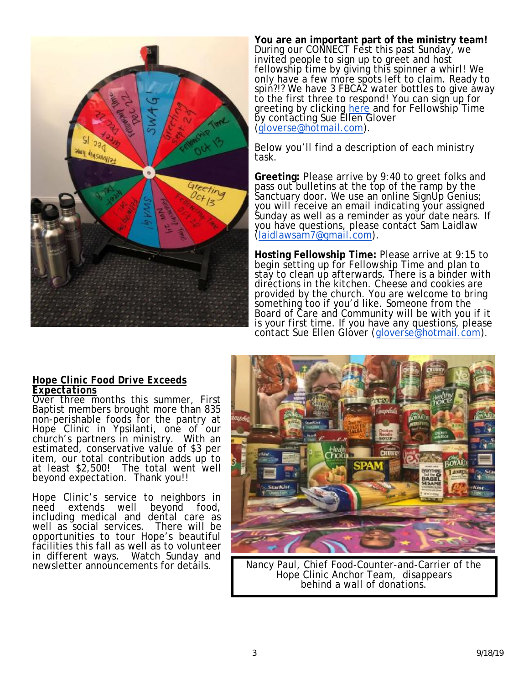

**You are an important part of the ministry team!**  During our CONNECT Fest this past Sunday, we invited people to sign up to greet and host fellowship time by giving this spinner a whirl! We only have a few more spots left to claim. Ready to spin?!? We have 3 FBCA2 water bottles to give away to the first three to respond! You can sign up for greeting by clicking here and for Fellowship Time by contacting Sue Ellen Glover [\(gloverse@hotmail.com\)](mailto:gloverse@hotmail.com).

Below you'll find a description of each ministry task.

**Greeting:** Please arrive by 9:40 to greet folks and pass out bulletins at the top of the ramp by the Sanctuary door. We use an online SignUp Genius; you will receive an email indicating your assigned Sunday as well as a reminder as your date nears. If you have questions, please contact Sam Laidlaw [\(laidlawsam7@gmail.com\)](mailto:laidlawsam7@gmail.com).

**Hosting Fellowship Time:** Please arrive at 9:15 to begin setting up for Fellowship Time and plan to stay to clean up afterwards. There is a binder with directions in the kitchen. Cheese and cookies are provided by the church. You are welcome to bring something too if you'd like. Someone from the Board of Care and Community will be with you if it is your first time. If you have any questions, please contact Sue Ellen Glover ([gloverse@hotmail.com\)](mailto:gloverse@hotmail.com).

#### *Hope Clinic Food Drive Exceeds Expectations*

Over three months this summer, First Baptist members brought more than 835 non-perishable foods for the pantry at Hope Clinic in Ypsilanti, one of our church's partners in ministry. With an estimated, conservative value of \$3 per item, our total contribution adds up to at least \$2,500! The total went well beyond expectation. Thank you!!

Hope Clinic's service to neighbors in need extends well beyond food, including medical and dental care as well as social services. There will be opportunities to tour Hope's beautiful facilities this fall as well as to volunteer Watch Sunday and newsletter announcements for details.



Nancy Paul, Chief Food-Counter-and-Carrier of the Hope Clinic Anchor Team, disappears behind a wall of donations.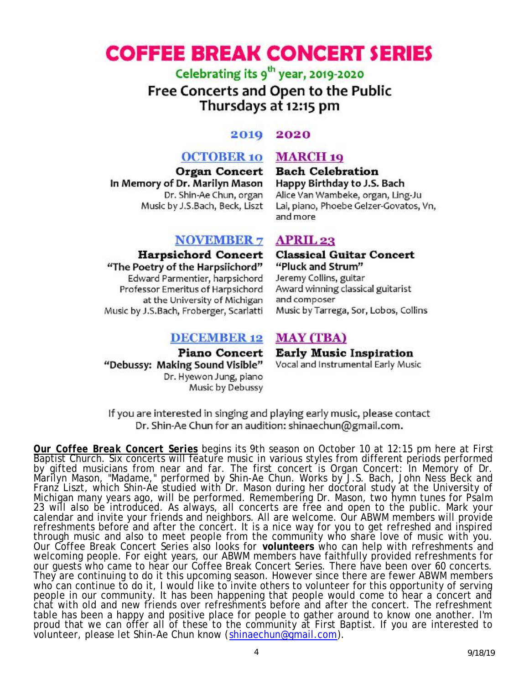### **COFFEE BREAK CONCERT SERIES**

Celebrating its 9<sup>th</sup> year, 2019-2020 Free Concerts and Open to the Public Thursdays at 12:15 pm

#### 2019 2020

#### **OCTOBER 10 MARCH 19**

In Memory of Dr. Marilyn Mason Dr. Shin-Ae Chun, organ Music by J.S.Bach, Beck, Liszt

#### **NOVEMBER 7**

**Harpsichord Concert** "The Poetry of the Harpsiichord" Edward Parmentier, harpsichord Professor Emeritus of Harpsichord at the University of Michigan Music by J.S.Bach, Froberger, Scarlatti

#### **DECEMBER 12**

Piano Concert "Debussy: Making Sound Visible" Dr. Hyewon Jung, piano Music by Debussy

Organ Concert Bach Celebration Happy Birthday to J.S. Bach Alice Van Wambeke, organ, Ling-Ju Lai, piano, Phoebe Gelzer-Govatos, Vn, and more

#### **APRIL 23**

**Classical Guitar Concert** "Pluck and Strum" Jeremy Collins, guitar Award winning classical guitarist and composer Music by Tarrega, Sor, Lobos, Collins

#### **MAY (TBA)**

**Early Music Inspiration** Vocal and Instrumental Early Music

If you are interested in singing and playing early music, please contact Dr. Shin-Ae Chun for an audition: shinaechun@gmail.com.

**Our Coffee Break Concert Series** begins its 9th season on October 10 at 12:15 pm here at First Baptist Church. Six concerts will feature music in various styles from different periods performed by gifted musicians from near and far. The first concert is Organ Concert: In Memory of Dr.<br>Marilyn Mason, "Madame," performed by Shin-Ae Chun. Works by J.S. Bach, John Ness Beck and<br>Franz Liszt, which Shin-Ae studied with Michigan many years ago, will be performed. Remembering Dr. Mason, two hymn tunes for Psalm<br>23 will also be introduced. As always, all concerts are free and open to the public. Mark your<br>calendar and invite your friends an refreshments before and after the concert. It is a nice way for you to get refreshed and inspired through music and also to meet people from the community who share love of music with you.<br>Our Coffee Break Concert Series also looks for **volunteers** who can help with refreshments and<br>welcoming people. For eight years, o They are continuing to do it this upcoming season. However since there are fewer ABWM members who can continue to do it, I would like to invite others to volunteer for this opportunity of serving people in our community. It has been happening that people would come to hear a concert and<br>chat with old and new friends over refreshments before and after the concert. The refreshment table has been a happy and positive place for people to gather around to know one another. I'm proud that we can offer all of these to the community at First Baptist. If you are interested to volunteer, please let Shin-Ae Chun know (shinaechun@gmail.com).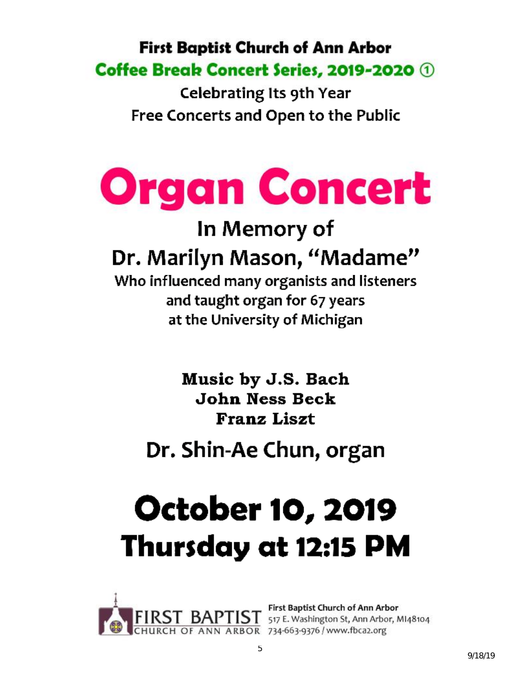### **First Baptist Church of Ann Arbor** Coffee Break Concert Series, 2019-2020 1

**Celebrating Its 9th Year** Free Concerts and Open to the Public

# **Organ Concert**

### In Memory of Dr. Marilyn Mason, "Madame"

Who influenced many organists and listeners and taught organ for 67 years at the University of Michigan

> Music by J.S. Bach **John Ness Beck Franz Liszt**

### Dr. Shin-Ae Chun, organ

# **October 10, 2019** Thursday at 12:15 PM



First Baptist Church of Ann Arbor<br>517 E. Washington St, Ann Arbor, M148104 ANN ARBOR 734-663-9376 / www.fbca2.org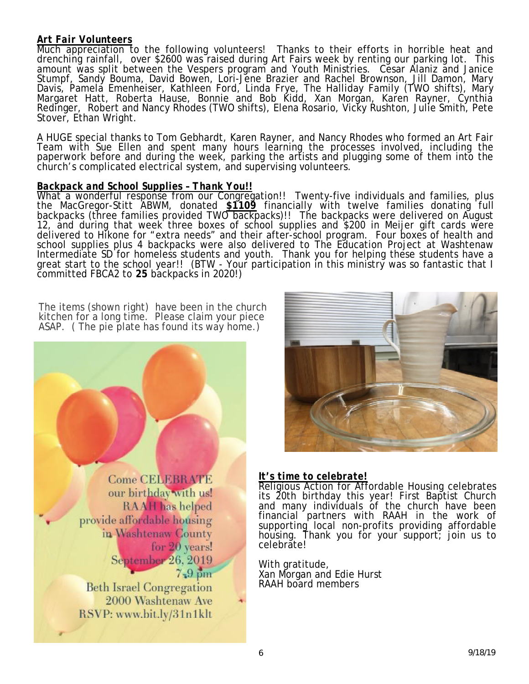#### *Art Fair Volunteers*

Much appreciation to the following volunteers! Thanks to their efforts in horrible heat and drenching rainfall, over \$2600 was raised during Art Fairs week by renting our parking lot. This amount was split between the Vespers program and Youth Ministries. Cesar Alaniz and Janice Stumpf, Sandy Bouma, David Bowen, Lori-Jene Brazier and Rachel Brownson, Jill Damon, Mary Davis, Pamela Emenheiser, Kathleen Ford, Linda Frye, The Halliday Family (TWO shifts), Mary Margaret Hatt, Roberta Hause, Bonnie and Bob Kidd, Xan Morgan, Karen Rayner, Cynthia Redinger, Robert and Nancy Rhodes (TWO shifts), Elena Rosario, Vicky Rushton, Julie Smith, Pete Stover, Ethan Wright.

A HUGE special thanks to Tom Gebhardt, Karen Rayner, and Nancy Rhodes who formed an Art Fair Team with Sue Ellen and spent many hours learning the processes involved, including the paperwork before and during the week, parking the artists and plugging some of them into the church's complicated electrical system, and supervising volunteers.

#### *Backpack and School Supplies – Thank You!!*

What a wonderful response from our Congregation!! Twenty-five individuals and families, plus the MacGregor-Stitt ABWM, donated **\$1109** financially with twelve families donating full backpacks (three families provided TWO backpacks)!! The backpacks were delivered on August 12, and during that week three boxes of school supplies and \$200 in Meijer gift cards were delivered to Hikone for "extra needs" and their after-school program. Four boxes of health and school supplies plus 4 backpacks were also delivered to The Education Project at Washtenaw Intermediate SD for homeless students and youth. Thank you for helping these students have a great start to the school year!! (BTW - Your participation in this ministry was so fantastic that I committed FBCA2 to **25** backpacks in 2020!)

The items (shown right) have been in the church kitchen for a long time. Please claim your piece ASAP. ( The pie plate has found its way home.)





#### *It's time to celebrate!*

Religious Action for Affordable Housing celebrates its 20th birthday this year! First Baptist Church and many individuals of the church have been financial partners with RAAH in the work of supporting local non-profits providing affordable housing. Thank you for your support; join us to celebrate!

With gratitude, Xan Morgan and Edie Hurst RAAH board members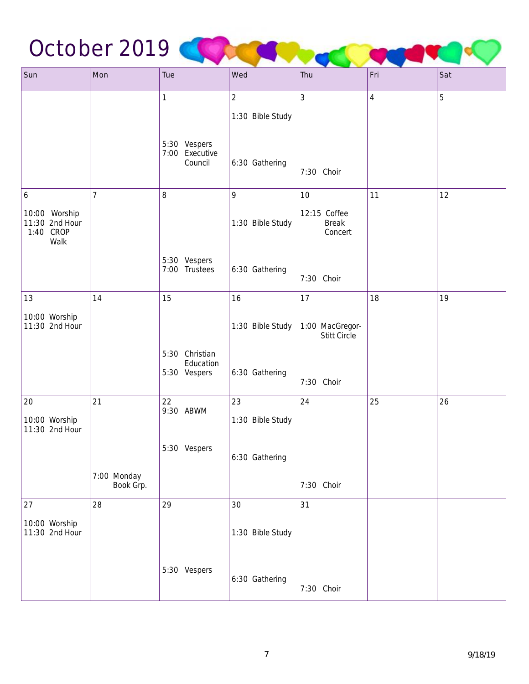## October 2019 COLOR COLOR COMPANY

| Sun                                                  | Mon                      | Tue                                         | Wed              | Thu                                     | Fri        | Sat |
|------------------------------------------------------|--------------------------|---------------------------------------------|------------------|-----------------------------------------|------------|-----|
|                                                      |                          | $\mathbf{1}$                                | $\overline{2}$   | 3                                       | $\sqrt{4}$ | 5   |
|                                                      |                          |                                             | 1:30 Bible Study |                                         |            |     |
|                                                      |                          | 5:30 Vespers<br>7:00 Executive<br>Council   | 6:30 Gathering   | 7:30 Choir                              |            |     |
| $\boldsymbol{6}$                                     | $\overline{7}$           | 8                                           | 9                | 10                                      | 11         | 12  |
| 10:00 Worship<br>11:30 2nd Hour<br>1:40 CROP<br>Walk |                          |                                             | 1:30 Bible Study | 12:15 Coffee<br><b>Break</b><br>Concert |            |     |
|                                                      |                          | 5:30 Vespers<br>7:00 Trustees               | 6:30 Gathering   | 7:30 Choir                              |            |     |
| 13                                                   | 14                       | 15                                          | 16               | 17                                      | 18         | 19  |
| 10:00 Worship<br>11:30 2nd Hour                      |                          |                                             | 1:30 Bible Study | 1:00 MacGregor-<br>Stitt Circle         |            |     |
|                                                      |                          | 5:30 Christian<br>Education<br>5:30 Vespers | 6:30 Gathering   | 7:30 Choir                              |            |     |
| 20                                                   | 21                       | 22<br>9:30 ABWM                             | 23               | 24                                      | 25         | 26  |
| 10:00 Worship<br>11:30 2nd Hour                      |                          |                                             | 1:30 Bible Study |                                         |            |     |
|                                                      |                          | 5:30 Vespers                                | 6:30 Gathering   |                                         |            |     |
|                                                      | 7:00 Monday<br>Book Grp. |                                             |                  | 7:30 Choir                              |            |     |
| 27                                                   | 28                       | 29                                          | 30               | 31                                      |            |     |
| 10:00 Worship<br>11:30 2nd Hour                      |                          |                                             | 1:30 Bible Study |                                         |            |     |
|                                                      |                          | 5:30 Vespers                                | 6:30 Gathering   | 7:30 Choir                              |            |     |